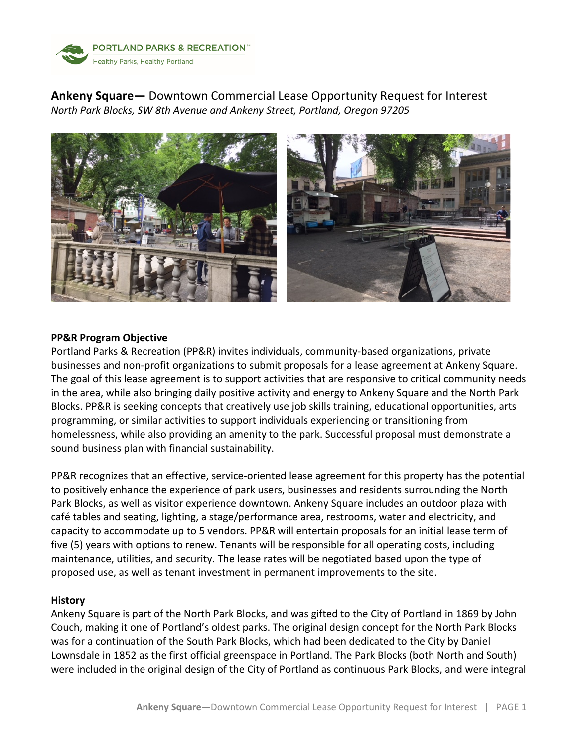

**Ankeny Square—** Downtown Commercial Lease Opportunity Request for Interest *North Park Blocks, SW 8th Avenue and Ankeny Street, Portland, Oregon 97205*



# **PP&R Program Objective**

Portland Parks & Recreation (PP&R) invites individuals, community-based organizations, private businesses and non-profit organizations to submit proposals for a lease agreement at Ankeny Square. The goal of this lease agreement is to support activities that are responsive to critical community needs in the area, while also bringing daily positive activity and energy to Ankeny Square and the North Park Blocks. PP&R is seeking concepts that creatively use job skills training, educational opportunities, arts programming, or similar activities to support individuals experiencing or transitioning from homelessness, while also providing an amenity to the park. Successful proposal must demonstrate a sound business plan with financial sustainability.

PP&R recognizes that an effective, service-oriented lease agreement for this property has the potential to positively enhance the experience of park users, businesses and residents surrounding the North Park Blocks, as well as visitor experience downtown. Ankeny Square includes an outdoor plaza with café tables and seating, lighting, a stage/performance area, restrooms, water and electricity, and capacity to accommodate up to 5 vendors. PP&R will entertain proposals for an initial lease term of five (5) years with options to renew. Tenants will be responsible for all operating costs, including maintenance, utilities, and security. The lease rates will be negotiated based upon the type of proposed use, as well as tenant investment in permanent improvements to the site.

#### **History**

Ankeny Square is part of the North Park Blocks, and was gifted to the City of Portland in 1869 by John Couch, making it one of Portland's oldest parks. The original design concept for the North Park Blocks was for a continuation of the South Park Blocks, which had been dedicated to the City by Daniel Lownsdale in 1852 as the first official greenspace in Portland. The Park Blocks (both North and South) were included in the original design of the City of Portland as continuous Park Blocks, and were integral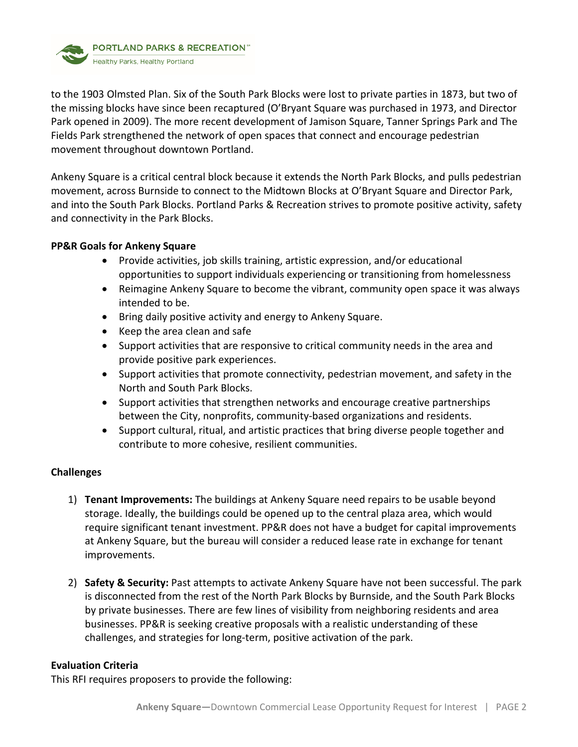**PORTLAND PARKS & RECREATION**" Healthy Parks, Healthy Portland

to the 1903 Olmsted Plan. Six of the South Park Blocks were lost to private parties in 1873, but two of the missing blocks have since been recaptured (O'Bryant Square was purchased in 1973, and Director Park opened in 2009). The more recent development of Jamison Square, Tanner Springs Park and The Fields Park strengthened the network of open spaces that connect and encourage pedestrian movement throughout downtown Portland.

Ankeny Square is a critical central block because it extends the North Park Blocks, and pulls pedestrian movement, across Burnside to connect to the Midtown Blocks at O'Bryant Square and Director Park, and into the South Park Blocks. Portland Parks & Recreation strives to promote positive activity, safety and connectivity in the Park Blocks.

# **PP&R Goals for Ankeny Square**

- Provide activities, job skills training, artistic expression, and/or educational opportunities to support individuals experiencing or transitioning from homelessness
- Reimagine Ankeny Square to become the vibrant, community open space it was always intended to be.
- Bring daily positive activity and energy to Ankeny Square.
- Keep the area clean and safe
- Support activities that are responsive to critical community needs in the area and provide positive park experiences.
- Support activities that promote connectivity, pedestrian movement, and safety in the North and South Park Blocks.
- Support activities that strengthen networks and encourage creative partnerships between the City, nonprofits, community-based organizations and residents.
- Support cultural, ritual, and artistic practices that bring diverse people together and contribute to more cohesive, resilient communities.

# **Challenges**

- 1) **Tenant Improvements:** The buildings at Ankeny Square need repairs to be usable beyond storage. Ideally, the buildings could be opened up to the central plaza area, which would require significant tenant investment. PP&R does not have a budget for capital improvements at Ankeny Square, but the bureau will consider a reduced lease rate in exchange for tenant improvements.
- 2) **Safety & Security:** Past attempts to activate Ankeny Square have not been successful. The park is disconnected from the rest of the North Park Blocks by Burnside, and the South Park Blocks by private businesses. There are few lines of visibility from neighboring residents and area businesses. PP&R is seeking creative proposals with a realistic understanding of these challenges, and strategies for long-term, positive activation of the park.

# **Evaluation Criteria**

This RFI requires proposers to provide the following: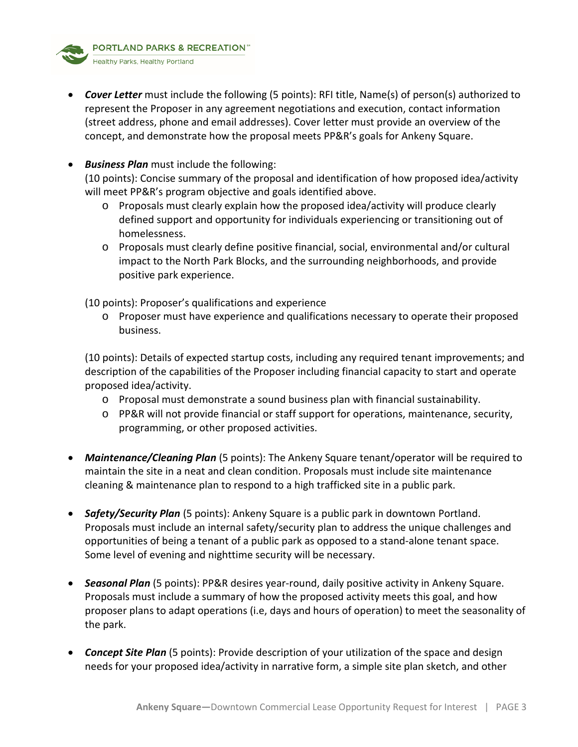• *Cover Letter* must include the following (5 points): RFI title, Name(s) of person(s) authorized to represent the Proposer in any agreement negotiations and execution, contact information (street address, phone and email addresses). Cover letter must provide an overview of the concept, and demonstrate how the proposal meets PP&R's goals for Ankeny Square.

# • *Business Plan* must include the following:

(10 points): Concise summary of the proposal and identification of how proposed idea/activity will meet PP&R's program objective and goals identified above.

- o Proposals must clearly explain how the proposed idea/activity will produce clearly defined support and opportunity for individuals experiencing or transitioning out of homelessness.
- o Proposals must clearly define positive financial, social, environmental and/or cultural impact to the North Park Blocks, and the surrounding neighborhoods, and provide positive park experience.

(10 points): Proposer's qualifications and experience

o Proposer must have experience and qualifications necessary to operate their proposed business.

(10 points): Details of expected startup costs, including any required tenant improvements; and description of the capabilities of the Proposer including financial capacity to start and operate proposed idea/activity.

- o Proposal must demonstrate a sound business plan with financial sustainability.
- o PP&R will not provide financial or staff support for operations, maintenance, security, programming, or other proposed activities.
- *Maintenance/Cleaning Plan* (5 points): The Ankeny Square tenant/operator will be required to maintain the site in a neat and clean condition. Proposals must include site maintenance cleaning & maintenance plan to respond to a high trafficked site in a public park.
- *Safety/Security Plan* (5 points): Ankeny Square is a public park in downtown Portland. Proposals must include an internal safety/security plan to address the unique challenges and opportunities of being a tenant of a public park as opposed to a stand-alone tenant space. Some level of evening and nighttime security will be necessary.
- *Seasonal Plan* (5 points): PP&R desires year-round, daily positive activity in Ankeny Square. Proposals must include a summary of how the proposed activity meets this goal, and how proposer plans to adapt operations (i.e, days and hours of operation) to meet the seasonality of the park.
- *Concept Site Plan* (5 points): Provide description of your utilization of the space and design needs for your proposed idea/activity in narrative form, a simple site plan sketch, and other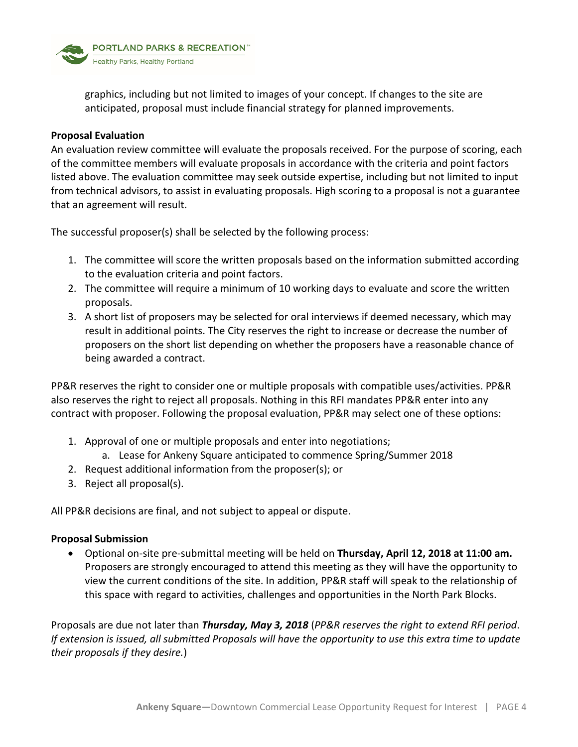

graphics, including but not limited to images of your concept. If changes to the site are anticipated, proposal must include financial strategy for planned improvements.

### **Proposal Evaluation**

An evaluation review committee will evaluate the proposals received. For the purpose of scoring, each of the committee members will evaluate proposals in accordance with the criteria and point factors listed above. The evaluation committee may seek outside expertise, including but not limited to input from technical advisors, to assist in evaluating proposals. High scoring to a proposal is not a guarantee that an agreement will result.

The successful proposer(s) shall be selected by the following process:

- 1. The committee will score the written proposals based on the information submitted according to the evaluation criteria and point factors.
- 2. The committee will require a minimum of 10 working days to evaluate and score the written proposals.
- 3. A short list of proposers may be selected for oral interviews if deemed necessary, which may result in additional points. The City reserves the right to increase or decrease the number of proposers on the short list depending on whether the proposers have a reasonable chance of being awarded a contract.

PP&R reserves the right to consider one or multiple proposals with compatible uses/activities. PP&R also reserves the right to reject all proposals. Nothing in this RFI mandates PP&R enter into any contract with proposer. Following the proposal evaluation, PP&R may select one of these options:

- 1. Approval of one or multiple proposals and enter into negotiations;
	- a. Lease for Ankeny Square anticipated to commence Spring/Summer 2018
- 2. Request additional information from the proposer(s); or
- 3. Reject all proposal(s).

All PP&R decisions are final, and not subject to appeal or dispute.

# **Proposal Submission**

• Optional on-site pre-submittal meeting will be held on **Thursday, April 12, 2018 at 11:00 am.** Proposers are strongly encouraged to attend this meeting as they will have the opportunity to view the current conditions of the site. In addition, PP&R staff will speak to the relationship of this space with regard to activities, challenges and opportunities in the North Park Blocks.

Proposals are due not later than *Thursday, May 3, 2018* (*PP&R reserves the right to extend RFI period*. *If extension is issued, all submitted Proposals will have the opportunity to use this extra time to update their proposals if they desire.*)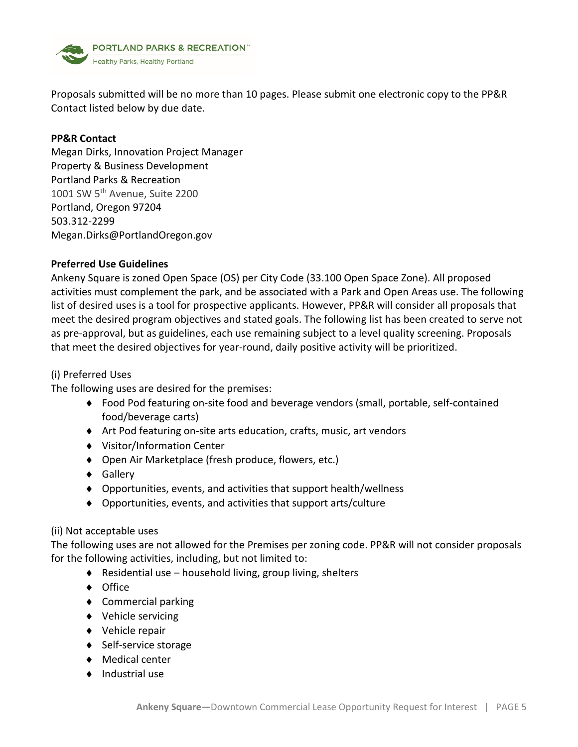

Proposals submitted will be no more than 10 pages. Please submit one electronic copy to the PP&R Contact listed below by due date.

# **PP&R Contact**

Megan Dirks, Innovation Project Manager Property & Business Development Portland Parks & Recreation 1001 SW 5<sup>th</sup> Avenue, Suite 2200 Portland, Oregon 97204 503.312-2299 Megan.Dirks@PortlandOregon.gov

# **Preferred Use Guidelines**

Ankeny Square is zoned Open Space (OS) per City Code (33.100 Open Space Zone). All proposed activities must complement the park, and be associated with a Park and Open Areas use. The following list of desired uses is a tool for prospective applicants. However, PP&R will consider all proposals that meet the desired program objectives and stated goals. The following list has been created to serve not as pre-approval, but as guidelines, each use remaining subject to a level quality screening. Proposals that meet the desired objectives for year-round, daily positive activity will be prioritized.

# (i) Preferred Uses

The following uses are desired for the premises:

- ♦ Food Pod featuring on-site food and beverage vendors (small, portable, self-contained food/beverage carts)
- ♦ Art Pod featuring on-site arts education, crafts, music, art vendors
- ♦ Visitor/Information Center
- ♦ Open Air Marketplace (fresh produce, flowers, etc.)
- ♦ Gallery
- ♦ Opportunities, events, and activities that support health/wellness
- ♦ Opportunities, events, and activities that support arts/culture

# (ii) Not acceptable uses

The following uses are not allowed for the Premises per zoning code. PP&R will not consider proposals for the following activities, including, but not limited to:

- ♦ Residential use household living, group living, shelters
- ♦ Office
- ♦ Commercial parking
- ♦ Vehicle servicing
- ♦ Vehicle repair
- ♦ Self-service storage
- ♦ Medical center
- ♦ Industrial use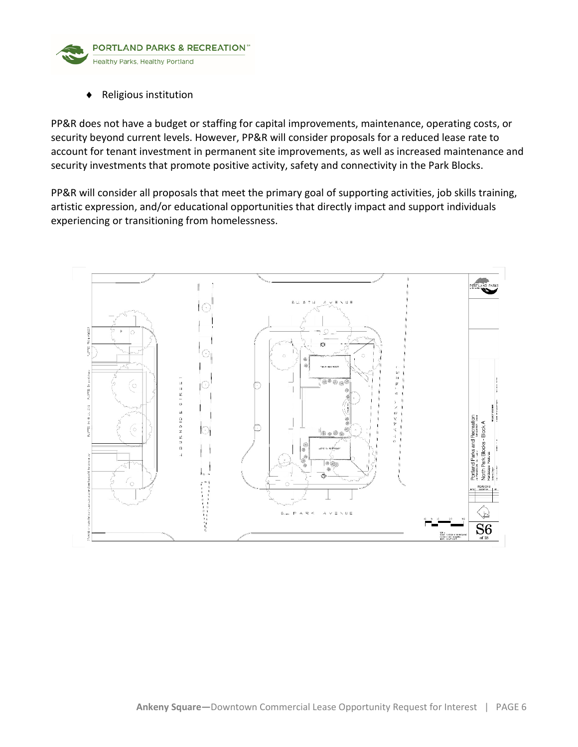

♦ Religious institution

PP&R does not have a budget or staffing for capital improvements, maintenance, operating costs, or security beyond current levels. However, PP&R will consider proposals for a reduced lease rate to account for tenant investment in permanent site improvements, as well as increased maintenance and security investments that promote positive activity, safety and connectivity in the Park Blocks.

PP&R will consider all proposals that meet the primary goal of supporting activities, job skills training, artistic expression, and/or educational opportunities that directly impact and support individuals experiencing or transitioning from homelessness.